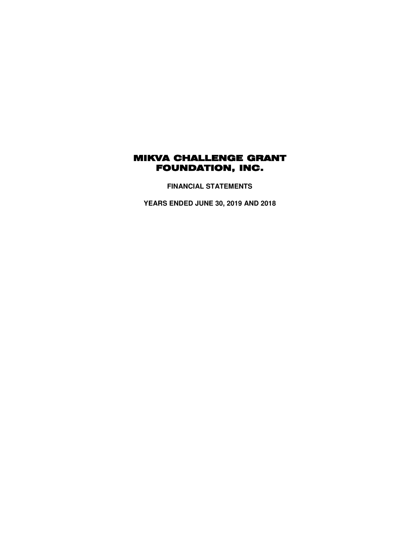**FINANCIAL STATEMENTS** 

**YEARS ENDED JUNE 30, 2019 AND 2018**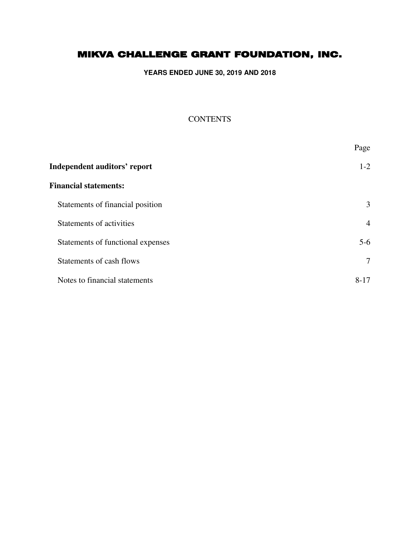**YEARS ENDED JUNE 30, 2019 AND 2018** 

### **CONTENTS**

|                                   | Page           |
|-----------------------------------|----------------|
| Independent auditors' report      | $1 - 2$        |
| <b>Financial statements:</b>      |                |
| Statements of financial position  | 3              |
| Statements of activities          | $\overline{4}$ |
| Statements of functional expenses | $5-6$          |
| Statements of cash flows          | 7              |
| Notes to financial statements     | $8 - 17$       |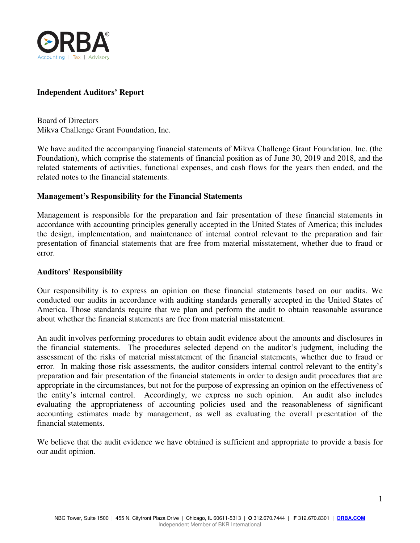

#### **Independent Auditors' Report**

Board of Directors Mikva Challenge Grant Foundation, Inc.

We have audited the accompanying financial statements of Mikva Challenge Grant Foundation, Inc. (the Foundation), which comprise the statements of financial position as of June 30, 2019 and 2018, and the related statements of activities, functional expenses, and cash flows for the years then ended, and the related notes to the financial statements.

#### **Management's Responsibility for the Financial Statements**

Management is responsible for the preparation and fair presentation of these financial statements in accordance with accounting principles generally accepted in the United States of America; this includes the design, implementation, and maintenance of internal control relevant to the preparation and fair presentation of financial statements that are free from material misstatement, whether due to fraud or error.

#### **Auditors' Responsibility**

Our responsibility is to express an opinion on these financial statements based on our audits. We conducted our audits in accordance with auditing standards generally accepted in the United States of America. Those standards require that we plan and perform the audit to obtain reasonable assurance about whether the financial statements are free from material misstatement.

An audit involves performing procedures to obtain audit evidence about the amounts and disclosures in the financial statements. The procedures selected depend on the auditor's judgment, including the assessment of the risks of material misstatement of the financial statements, whether due to fraud or error. In making those risk assessments, the auditor considers internal control relevant to the entity's preparation and fair presentation of the financial statements in order to design audit procedures that are appropriate in the circumstances, but not for the purpose of expressing an opinion on the effectiveness of the entity's internal control. Accordingly, we express no such opinion. An audit also includes evaluating the appropriateness of accounting policies used and the reasonableness of significant accounting estimates made by management, as well as evaluating the overall presentation of the financial statements.

We believe that the audit evidence we have obtained is sufficient and appropriate to provide a basis for our audit opinion.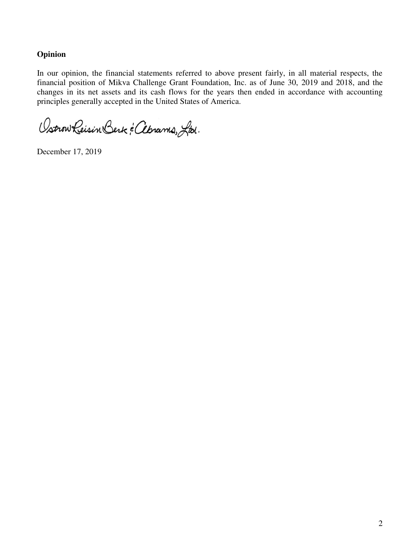### **Opinion**

In our opinion, the financial statements referred to above present fairly, in all material respects, the financial position of Mikva Challenge Grant Foundation, Inc. as of June 30, 2019 and 2018, and the changes in its net assets and its cash flows for the years then ended in accordance with accounting principles generally accepted in the United States of America.

Ostrow Reisin Berk & Cebrams, Ltd.

December 17, 2019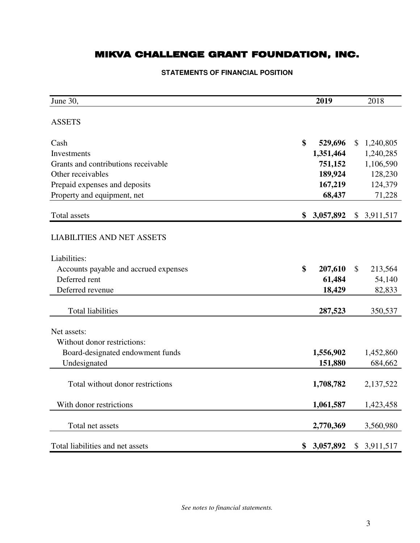#### **STATEMENTS OF FINANCIAL POSITION**

| June 30,                              | 2019            |              | 2018         |
|---------------------------------------|-----------------|--------------|--------------|
|                                       |                 |              |              |
| <b>ASSETS</b>                         |                 |              |              |
| Cash                                  | \$<br>529,696   | $\mathbb{S}$ | 1,240,805    |
| Investments                           | 1,351,464       |              | 1,240,285    |
| Grants and contributions receivable   | 751,152         |              | 1,106,590    |
| Other receivables                     | 189,924         |              | 128,230      |
| Prepaid expenses and deposits         | 167,219         |              | 124,379      |
| Property and equipment, net           | 68,437          |              | 71,228       |
|                                       |                 |              |              |
| Total assets                          | \$<br>3,057,892 |              | \$ 3,911,517 |
|                                       |                 |              |              |
| <b>LIABILITIES AND NET ASSETS</b>     |                 |              |              |
| Liabilities:                          |                 |              |              |
| Accounts payable and accrued expenses | \$<br>207,610   | $\mathbb{S}$ | 213,564      |
| Deferred rent                         | 61,484          |              | 54,140       |
| Deferred revenue                      | 18,429          |              | 82,833       |
|                                       |                 |              |              |
| <b>Total liabilities</b>              | 287,523         |              | 350,537      |
| Net assets:                           |                 |              |              |
| Without donor restrictions:           |                 |              |              |
| Board-designated endowment funds      | 1,556,902       |              | 1,452,860    |
| Undesignated                          | 151,880         |              | 684,662      |
|                                       |                 |              |              |
| Total without donor restrictions      | 1,708,782       |              | 2,137,522    |
|                                       |                 |              |              |
| With donor restrictions               | 1,061,587       |              | 1,423,458    |
|                                       |                 |              |              |
| Total net assets                      | 2,770,369       |              | 3,560,980    |
| Total liabilities and net assets      | \$<br>3,057,892 | \$           | 3,911,517    |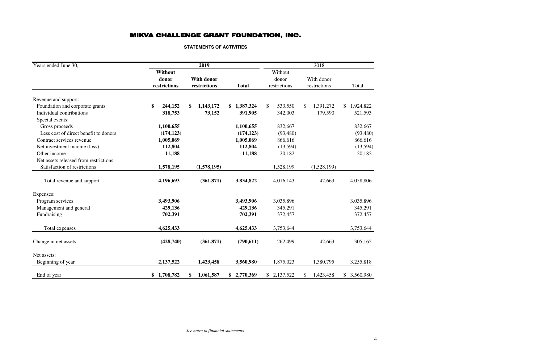#### **STATEMENTS OF ACTIVITIES**

| Years ended June 30,                                        |                | $\overline{2019}$ |                            | 2018          |                           |                           |  |
|-------------------------------------------------------------|----------------|-------------------|----------------------------|---------------|---------------------------|---------------------------|--|
|                                                             | <b>Without</b> |                   |                            | Without       |                           |                           |  |
|                                                             | donor          | <b>With donor</b> |                            | donor         | With donor                |                           |  |
|                                                             | restrictions   | restrictions      | <b>Total</b>               | restrictions  | restrictions              | Total                     |  |
|                                                             |                |                   |                            |               |                           |                           |  |
| Revenue and support:                                        |                |                   |                            |               |                           |                           |  |
| Foundation and corporate grants<br>Individual contributions | \$<br>244,152  | \$<br>1,143,172   | 1,387,324<br>$\mathbf{\$}$ | \$<br>533,550 | $\mathbb{S}$<br>1,391,272 | 1,924,822<br>$\mathbb{S}$ |  |
|                                                             | 318,753        | 73,152            | 391,905                    | 342,003       | 179,590                   | 521,593                   |  |
| Special events:                                             |                |                   |                            |               |                           |                           |  |
| Gross proceeds                                              | 1,100,655      |                   | 1,100,655                  | 832,667       |                           | 832,667                   |  |
| Less cost of direct benefit to donors                       | (174, 123)     |                   | (174, 123)                 | (93, 480)     |                           | (93, 480)                 |  |
| Contract services revenue                                   | 1,005,069      |                   | 1,005,069                  | 866,616       |                           | 866,616                   |  |
| Net investment income (loss)                                | 112,804        |                   | 112,804                    | (13,594)      |                           | (13,594)                  |  |
| Other income                                                | 11,188         |                   | 11,188                     | 20,182        |                           | 20,182                    |  |
| Net assets released from restrictions:                      |                |                   |                            |               |                           |                           |  |
| Satisfaction of restrictions                                | 1,578,195      | (1,578,195)       |                            | 1,528,199     | (1,528,199)               |                           |  |
| Total revenue and support                                   | 4,196,693      | (361,871)         | 3,834,822                  | 4,016,143     | 42,663                    | 4,058,806                 |  |
| Expenses:                                                   |                |                   |                            |               |                           |                           |  |
| Program services                                            | 3,493,906      |                   | 3,493,906                  | 3,035,896     |                           | 3,035,896                 |  |
| Management and general                                      | 429,136        |                   | 429,136                    | 345,291       |                           | 345,291                   |  |
| Fundraising                                                 | 702,391        |                   | 702,391                    | 372,457       |                           | 372,457                   |  |
| Total expenses                                              | 4,625,433      |                   | 4,625,433                  | 3,753,644     |                           | 3,753,644                 |  |
| Change in net assets                                        | (428,740)      | (361, 871)        | (790, 611)                 | 262,499       | 42,663                    | 305,162                   |  |
| Net assets:                                                 |                |                   |                            |               |                           |                           |  |
| Beginning of year                                           | 2,137,522      | 1,423,458         | 3,560,980                  | 1,875,023     | 1,380,795                 | 3,255,818                 |  |
| End of year                                                 | \$1,708,782    | 1,061,587<br>\$   | 2,770,369<br>\$            | \$2,137,522   | \$<br>1,423,458           | \$3,560,980               |  |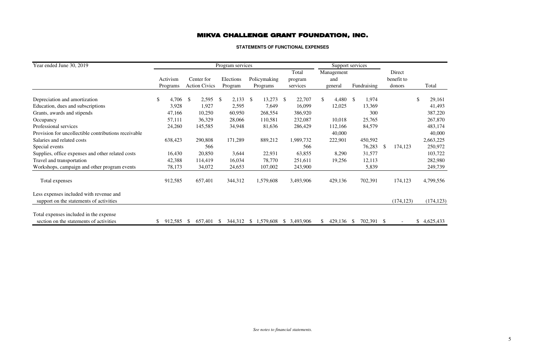#### **STATEMENTS OF FUNCTIONAL EXPENSES**

| Year ended June 30, 2019                             |              |          |               |                      |               | Program services |               |              |               |             | Support services |            |               |             |              |            |                 |
|------------------------------------------------------|--------------|----------|---------------|----------------------|---------------|------------------|---------------|--------------|---------------|-------------|------------------|------------|---------------|-------------|--------------|------------|-----------------|
|                                                      |              |          |               |                      |               |                  |               |              |               | Total       |                  | Management |               |             |              | Direct     |                 |
|                                                      |              | Activism |               | Center for           |               | Elections        |               | Policymaking |               | program     |                  | and        |               |             |              | benefit to |                 |
|                                                      |              | Programs |               | <b>Action Civics</b> |               | Program          |               | Programs     |               | services    |                  | general    |               | Fundraising |              | donors     | Total           |
| Depreciation and amortization                        | $\mathbb{S}$ | 4,706    | $\mathcal{S}$ | $2,595$ \$           |               | 2,133            | $\mathcal{S}$ | 13,273       | $\mathcal{S}$ | 22,707      | $\mathbb{S}$     | $4,480$ \$ |               | 1,974       |              |            | \$<br>29,161    |
| Education, dues and subscriptions                    |              | 3,928    |               | 1,927                |               | 2,595            |               | 7,649        |               | 16,099      |                  | 12,025     |               | 13,369      |              |            | 41,493          |
| Grants, awards and stipends                          |              | 47,166   |               | 10,250               |               | 60,950           |               | 268,554      |               | 386,920     |                  |            |               | 300         |              |            | 387,220         |
| Occupancy                                            |              | 57,111   |               | 36,329               |               | 28,066           |               | 110,581      |               | 232,087     |                  | 10,018     |               | 25,765      |              |            | 267,870         |
| Professional services                                |              | 24,260   |               | 145,585              |               | 34,948           |               | 81,636       |               | 286,429     |                  | 112,166    |               | 84,579      |              |            | 483,174         |
| Provision for uncollectible contributions receivable |              |          |               |                      |               |                  |               |              |               |             |                  | 40,000     |               |             |              |            | 40,000          |
| Salaries and related costs                           |              | 638,423  |               | 290,808              |               | 171,289          |               | 889,212      |               | 1,989,732   |                  | 222,901    |               | 450,592     |              |            | 2,663,225       |
| Special events                                       |              |          |               | 566                  |               |                  |               |              |               | 566         |                  |            |               | 76,283      | $\mathbb{S}$ | 174,123    | 250,972         |
| Supplies, office expenses and other related costs    |              | 16,430   |               | 20,850               |               | 3,644            |               | 22,931       |               | 63,855      |                  | 8,290      |               | 31,577      |              |            | 103,722         |
| Travel and transportation                            |              | 42,388   |               | 114,419              |               | 16,034           |               | 78,770       |               | 251,611     |                  | 19,256     |               | 12,113      |              |            | 282,980         |
| Workshops, campaign and other program events         |              | 78,173   |               | 34,072               |               | 24,653           |               | 107,002      |               | 243,900     |                  |            |               | 5,839       |              |            | 249,739         |
| Total expenses                                       |              | 912,585  |               | 657,401              |               | 344,312          |               | 1,579,608    |               | 3,493,906   |                  | 429,136    |               | 702,391     |              | 174,123    | 4,799,556       |
| Less expenses included with revenue and              |              |          |               |                      |               |                  |               |              |               |             |                  |            |               |             |              |            |                 |
| support on the statements of activities              |              |          |               |                      |               |                  |               |              |               |             |                  |            |               |             |              | (174, 123) | (174, 123)      |
| Total expenses included in the expense               |              |          |               |                      |               |                  |               |              |               |             |                  |            |               |             |              |            |                 |
| section on the statements of activities              | \$           | 912,585  | - \$          | 657,401              | $\mathcal{S}$ | 344,312          |               | \$1,579,608  |               | \$3,493,906 | S.               | 429,136    | $\mathcal{S}$ | 702,391 \$  |              |            | \$<br>4,625,433 |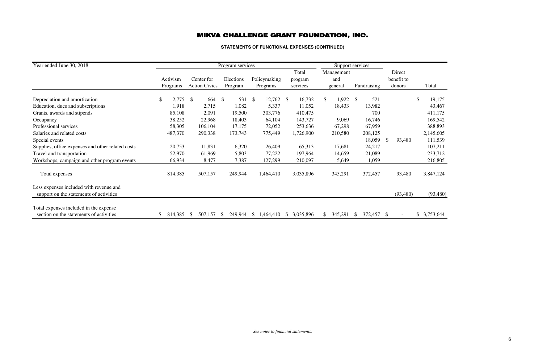**STATEMENTS OF FUNCTIONAL EXPENSES (CONTINUED)** 

| Year ended June 30, 2018                                                           |               |               |                      |               | Program services |               |              |              |           |               | Support services |               |             |               |                          |              |           |
|------------------------------------------------------------------------------------|---------------|---------------|----------------------|---------------|------------------|---------------|--------------|--------------|-----------|---------------|------------------|---------------|-------------|---------------|--------------------------|--------------|-----------|
|                                                                                    |               |               |                      |               |                  |               |              |              | Total     |               | Management       |               |             |               | Direct                   |              |           |
|                                                                                    | Activism      |               | Center for           |               | Elections        |               | Policymaking |              | program   |               | and              |               |             |               | benefit to               |              |           |
|                                                                                    | Programs      |               | <b>Action Civics</b> |               | Program          |               | Programs     |              | services  |               | general          |               | Fundraising |               | donors                   |              | Total     |
| Depreciation and amortization                                                      | \$<br>2,775   | $\mathcal{S}$ | 664                  | $\mathcal{S}$ | 531 \$           |               | $12,762$ \$  |              | 16,732    | $\mathcal{S}$ | 1,922            | $\mathcal{S}$ | 521         |               |                          | \$           | 19,175    |
| Education, dues and subscriptions                                                  | 1,918         |               | 2,715                |               | 1,082            |               | 5,337        |              | 11,052    |               | 18,433           |               | 13,982      |               |                          |              | 43,467    |
| Grants, awards and stipends                                                        | 85,108        |               | 2,091                |               | 19,500           |               | 303,776      |              | 410,475   |               |                  |               | 700         |               |                          |              | 411,175   |
| Occupancy                                                                          | 38,252        |               | 22,968               |               | 18,403           |               | 64,104       |              | 143,727   |               | 9,069            |               | 16,746      |               |                          |              | 169,542   |
| Professional services                                                              | 58,305        |               | 106,104              |               | 17,175           |               | 72,052       |              | 253,636   |               | 67,298           |               | 67,959      |               |                          |              | 388,893   |
| Salaries and related costs                                                         | 487,370       |               | 290,338              |               | 173,743          |               | 775,449      |              | 1,726,900 |               | 210,580          |               | 208,125     |               |                          |              | 2,145,605 |
| Special events                                                                     |               |               |                      |               |                  |               |              |              |           |               |                  |               | 18,059      | -S            | 93,480                   |              | 111,539   |
| Supplies, office expenses and other related costs                                  | 20,753        |               | 11,831               |               | 6,320            |               | 26,409       |              | 65,313    |               | 17,681           |               | 24,217      |               |                          |              | 107,211   |
| Travel and transportation                                                          | 52,970        |               | 61,969               |               | 5,803            |               | 77,222       |              | 197,964   |               | 14,659           |               | 21,089      |               |                          |              | 233,712   |
| Workshops, campaign and other program events                                       | 66,934        |               | 8,477                |               | 7,387            |               | 127,299      |              | 210,097   |               | 5,649            |               | 1,059       |               |                          |              | 216,805   |
| Total expenses                                                                     | 814,385       |               | 507,157              |               | 249,944          |               | 1,464,410    |              | 3,035,896 |               | 345,291          |               | 372,457     |               | 93,480                   |              | 3,847,124 |
| Less expenses included with revenue and<br>support on the statements of activities |               |               |                      |               |                  |               |              |              |           |               |                  |               |             |               | (93, 480)                |              | (93, 480) |
| Total expenses included in the expense<br>section on the statements of activities  | \$<br>814,385 | -SS           | 507,157              | <sup>S</sup>  | 249,944          | $\mathcal{S}$ | 1,464,410    | $\mathbb{S}$ | 3,035,896 | <sup>S</sup>  | 345,291          | <sup>S</sup>  | 372,457     | $\mathcal{S}$ | $\overline{\phantom{a}}$ | $\mathbb{S}$ | 3,753,644 |
|                                                                                    |               |               |                      |               |                  |               |              |              |           |               |                  |               |             |               |                          |              |           |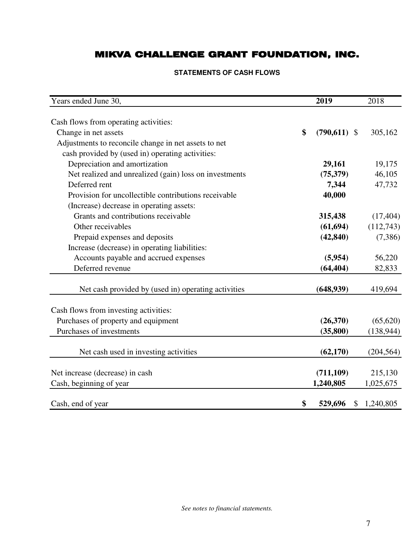| Years ended June 30,                                   | 2019                  | 2018                       |
|--------------------------------------------------------|-----------------------|----------------------------|
|                                                        |                       |                            |
| Cash flows from operating activities:                  |                       |                            |
| Change in net assets                                   | \$<br>$(790, 611)$ \$ | 305,162                    |
| Adjustments to reconcile change in net assets to net   |                       |                            |
| cash provided by (used in) operating activities:       |                       |                            |
| Depreciation and amortization                          | 29,161                | 19,175                     |
| Net realized and unrealized (gain) loss on investments | (75,379)              | 46,105                     |
| Deferred rent                                          | 7,344                 | 47,732                     |
| Provision for uncollectible contributions receivable   | 40,000                |                            |
| (Increase) decrease in operating assets:               |                       |                            |
| Grants and contributions receivable                    | 315,438               | (17, 404)                  |
| Other receivables                                      | (61, 694)             | (112,743)                  |
| Prepaid expenses and deposits                          | (42, 840)             | (7,386)                    |
| Increase (decrease) in operating liabilities:          |                       |                            |
| Accounts payable and accrued expenses                  | (5,954)               | 56,220                     |
| Deferred revenue                                       | (64, 404)             | 82,833                     |
|                                                        |                       |                            |
| Net cash provided by (used in) operating activities    | (648, 939)            | 419,694                    |
|                                                        |                       |                            |
| Cash flows from investing activities:                  |                       |                            |
| Purchases of property and equipment                    | (26,370)              | (65, 620)                  |
| Purchases of investments                               | (35, 800)             | (138, 944)                 |
| Net cash used in investing activities                  | (62, 170)             | (204, 564)                 |
|                                                        |                       |                            |
| Net increase (decrease) in cash                        | (711, 109)            | 215,130                    |
| Cash, beginning of year                                | 1,240,805             | 1,025,675                  |
| Cash, end of year                                      | \$<br>529,696         | 1,240,805<br><sup>\$</sup> |

#### **STATEMENTS OF CASH FLOWS**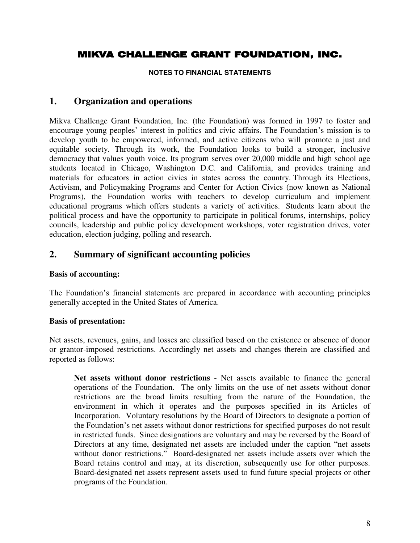**NOTES TO FINANCIAL STATEMENTS** 

### **1. Organization and operations**

Mikva Challenge Grant Foundation, Inc. (the Foundation) was formed in 1997 to foster and encourage young peoples' interest in politics and civic affairs. The Foundation's mission is to develop youth to be empowered, informed, and active citizens who will promote a just and equitable society. Through its work, the Foundation looks to build a stronger, inclusive democracy that values youth voice. Its program serves over 20,000 middle and high school age students located in Chicago, Washington D.C. and California, and provides training and materials for educators in action civics in states across the country. Through its Elections, Activism, and Policymaking Programs and Center for Action Civics (now known as National Programs), the Foundation works with teachers to develop curriculum and implement educational programs which offers students a variety of activities. Students learn about the political process and have the opportunity to participate in political forums, internships, policy councils, leadership and public policy development workshops, voter registration drives, voter education, election judging, polling and research.

### **2. Summary of significant accounting policies**

#### **Basis of accounting:**

The Foundation's financial statements are prepared in accordance with accounting principles generally accepted in the United States of America.

#### **Basis of presentation:**

Net assets, revenues, gains, and losses are classified based on the existence or absence of donor or grantor-imposed restrictions. Accordingly net assets and changes therein are classified and reported as follows:

**Net assets without donor restrictions** - Net assets available to finance the general operations of the Foundation. The only limits on the use of net assets without donor restrictions are the broad limits resulting from the nature of the Foundation, the environment in which it operates and the purposes specified in its Articles of Incorporation. Voluntary resolutions by the Board of Directors to designate a portion of the Foundation's net assets without donor restrictions for specified purposes do not result in restricted funds. Since designations are voluntary and may be reversed by the Board of Directors at any time, designated net assets are included under the caption "net assets without donor restrictions." Board-designated net assets include assets over which the Board retains control and may, at its discretion, subsequently use for other purposes. Board-designated net assets represent assets used to fund future special projects or other programs of the Foundation.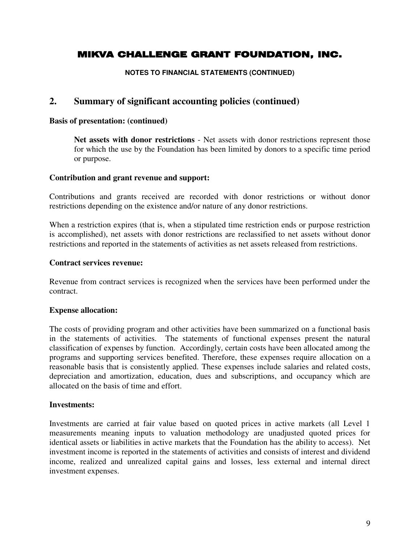#### **NOTES TO FINANCIAL STATEMENTS (CONTINUED)**

### **2. Summary of significant accounting policies (continued)**

#### **Basis of presentation: (continued)**

**Net assets with donor restrictions** - Net assets with donor restrictions represent those for which the use by the Foundation has been limited by donors to a specific time period or purpose.

#### **Contribution and grant revenue and support:**

Contributions and grants received are recorded with donor restrictions or without donor restrictions depending on the existence and/or nature of any donor restrictions.

When a restriction expires (that is, when a stipulated time restriction ends or purpose restriction is accomplished), net assets with donor restrictions are reclassified to net assets without donor restrictions and reported in the statements of activities as net assets released from restrictions.

#### **Contract services revenue:**

Revenue from contract services is recognized when the services have been performed under the contract.

#### **Expense allocation:**

The costs of providing program and other activities have been summarized on a functional basis in the statements of activities. The statements of functional expenses present the natural classification of expenses by function. Accordingly, certain costs have been allocated among the programs and supporting services benefited. Therefore, these expenses require allocation on a reasonable basis that is consistently applied. These expenses include salaries and related costs, depreciation and amortization, education, dues and subscriptions, and occupancy which are allocated on the basis of time and effort.

#### **Investments:**

Investments are carried at fair value based on quoted prices in active markets (all Level 1 measurements meaning inputs to valuation methodology are unadjusted quoted prices for identical assets or liabilities in active markets that the Foundation has the ability to access). Net investment income is reported in the statements of activities and consists of interest and dividend income, realized and unrealized capital gains and losses, less external and internal direct investment expenses.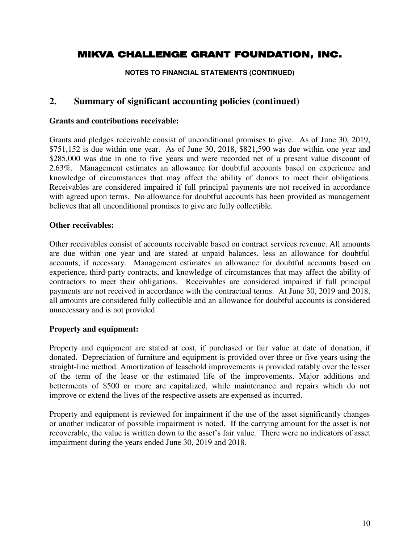**NOTES TO FINANCIAL STATEMENTS (CONTINUED)** 

### **2. Summary of significant accounting policies (continued)**

#### **Grants and contributions receivable:**

Grants and pledges receivable consist of unconditional promises to give. As of June 30, 2019, \$751,152 is due within one year. As of June 30, 2018, \$821,590 was due within one year and \$285,000 was due in one to five years and were recorded net of a present value discount of 2.63%. Management estimates an allowance for doubtful accounts based on experience and knowledge of circumstances that may affect the ability of donors to meet their obligations. Receivables are considered impaired if full principal payments are not received in accordance with agreed upon terms. No allowance for doubtful accounts has been provided as management believes that all unconditional promises to give are fully collectible.

#### **Other receivables:**

Other receivables consist of accounts receivable based on contract services revenue. All amounts are due within one year and are stated at unpaid balances, less an allowance for doubtful accounts, if necessary. Management estimates an allowance for doubtful accounts based on experience, third-party contracts, and knowledge of circumstances that may affect the ability of contractors to meet their obligations. Receivables are considered impaired if full principal payments are not received in accordance with the contractual terms. At June 30, 2019 and 2018, all amounts are considered fully collectible and an allowance for doubtful accounts is considered unnecessary and is not provided.

#### **Property and equipment:**

Property and equipment are stated at cost, if purchased or fair value at date of donation, if donated. Depreciation of furniture and equipment is provided over three or five years using the straight-line method. Amortization of leasehold improvements is provided ratably over the lesser of the term of the lease or the estimated life of the improvements. Major additions and betterments of \$500 or more are capitalized, while maintenance and repairs which do not improve or extend the lives of the respective assets are expensed as incurred.

Property and equipment is reviewed for impairment if the use of the asset significantly changes or another indicator of possible impairment is noted. If the carrying amount for the asset is not recoverable, the value is written down to the asset's fair value. There were no indicators of asset impairment during the years ended June 30, 2019 and 2018.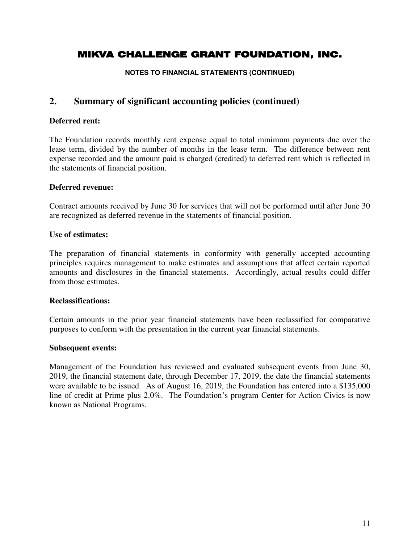#### **NOTES TO FINANCIAL STATEMENTS (CONTINUED)**

### **2. Summary of significant accounting policies (continued)**

#### **Deferred rent:**

The Foundation records monthly rent expense equal to total minimum payments due over the lease term, divided by the number of months in the lease term. The difference between rent expense recorded and the amount paid is charged (credited) to deferred rent which is reflected in the statements of financial position.

#### **Deferred revenue:**

Contract amounts received by June 30 for services that will not be performed until after June 30 are recognized as deferred revenue in the statements of financial position.

#### **Use of estimates:**

The preparation of financial statements in conformity with generally accepted accounting principles requires management to make estimates and assumptions that affect certain reported amounts and disclosures in the financial statements. Accordingly, actual results could differ from those estimates.

#### **Reclassifications:**

Certain amounts in the prior year financial statements have been reclassified for comparative purposes to conform with the presentation in the current year financial statements.

#### **Subsequent events:**

Management of the Foundation has reviewed and evaluated subsequent events from June 30, 2019, the financial statement date, through December 17, 2019, the date the financial statements were available to be issued. As of August 16, 2019, the Foundation has entered into a \$135,000 line of credit at Prime plus 2.0%. The Foundation's program Center for Action Civics is now known as National Programs.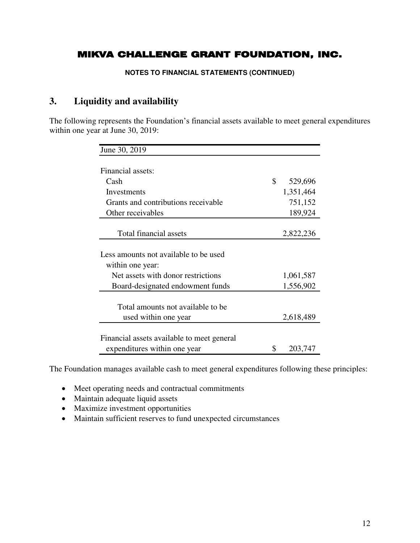**NOTES TO FINANCIAL STATEMENTS (CONTINUED)** 

### **3. Liquidity and availability**

The following represents the Foundation's financial assets available to meet general expenditures within one year at June 30, 2019:

| June 30, 2019                              |               |
|--------------------------------------------|---------------|
|                                            |               |
| Financial assets:                          |               |
| Cash                                       | \$<br>529,696 |
| Investments                                | 1,351,464     |
| Grants and contributions receivable        | 751,152       |
| Other receivables                          | 189,924       |
|                                            |               |
| Total financial assets                     | 2,822,236     |
|                                            |               |
| Less amounts not available to be used      |               |
| within one year:                           |               |
| Net assets with donor restrictions         | 1,061,587     |
| Board-designated endowment funds           | 1,556,902     |
|                                            |               |
| Total amounts not available to be          |               |
| used within one year                       | 2,618,489     |
|                                            |               |
| Financial assets available to meet general |               |
| expenditures within one year               | \$<br>203,747 |

The Foundation manages available cash to meet general expenditures following these principles:

- Meet operating needs and contractual commitments
- Maintain adequate liquid assets
- Maximize investment opportunities
- Maintain sufficient reserves to fund unexpected circumstances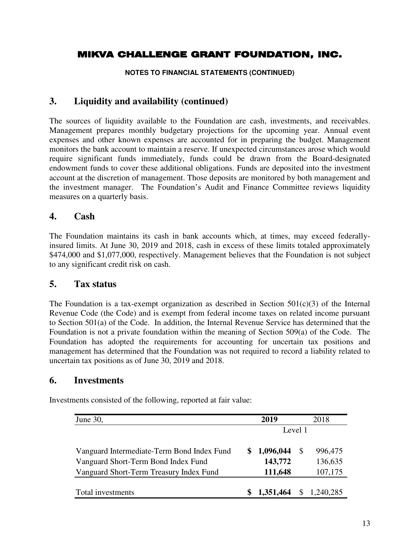**NOTES TO FINANCIAL STATEMENTS (CONTINUED)** 

### **3. Liquidity and availability (continued)**

The sources of liquidity available to the Foundation are cash, investments, and receivables. Management prepares monthly budgetary projections for the upcoming year. Annual event expenses and other known expenses are accounted for in preparing the budget. Management monitors the bank account to maintain a reserve. If unexpected circumstances arose which would require significant funds immediately, funds could be drawn from the Board-designated endowment funds to cover these additional obligations. Funds are deposited into the investment account at the discretion of management. Those deposits are monitored by both management and the investment manager. The Foundation's Audit and Finance Committee reviews liquidity measures on a quarterly basis.

### **4. Cash**

The Foundation maintains its cash in bank accounts which, at times, may exceed federallyinsured limits. At June 30, 2019 and 2018, cash in excess of these limits totaled approximately \$474,000 and \$1,077,000, respectively. Management believes that the Foundation is not subject to any significant credit risk on cash.

### **5. Tax status**

The Foundation is a tax-exempt organization as described in Section  $501(c)(3)$  of the Internal Revenue Code (the Code) and is exempt from federal income taxes on related income pursuant to Section 501(a) of the Code. In addition, the Internal Revenue Service has determined that the Foundation is not a private foundation within the meaning of Section 509(a) of the Code. The Foundation has adopted the requirements for accounting for uncertain tax positions and management has determined that the Foundation was not required to record a liability related to uncertain tax positions as of June 30, 2019 and 2018.

### **6. Investments**

Investments consisted of the following, reported at fair value:

| June 30,                                   |         | 2019      |    | 2018      |  |  |
|--------------------------------------------|---------|-----------|----|-----------|--|--|
|                                            | Level 1 |           |    |           |  |  |
| Vanguard Intermediate-Term Bond Index Fund |         | 1,096,044 | \$ | 996,475   |  |  |
| Vanguard Short-Term Bond Index Fund        |         | 143,772   |    | 136,635   |  |  |
| Vanguard Short-Term Treasury Index Fund    |         | 111,648   |    | 107,175   |  |  |
|                                            |         |           |    |           |  |  |
| Total investments                          |         | 1,351,464 | \$ | 1,240,285 |  |  |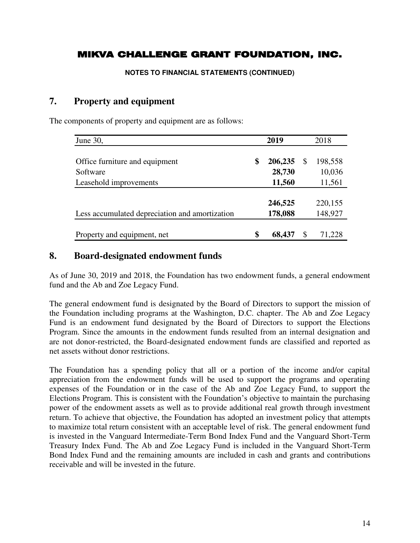**NOTES TO FINANCIAL STATEMENTS (CONTINUED)** 

### **7. Property and equipment**

The components of property and equipment are as follows:

| June 30,                                       | 2019          | 2018          |
|------------------------------------------------|---------------|---------------|
|                                                |               |               |
| Office furniture and equipment                 | \$<br>206,235 | \$<br>198,558 |
| Software                                       | 28,730        | 10,036        |
| Leasehold improvements                         | 11,560        | 11,561        |
|                                                |               |               |
|                                                | 246,525       | 220,155       |
| Less accumulated depreciation and amortization | 178,088       | 148,927       |
|                                                |               |               |
| Property and equipment, net                    | \$<br>68,437  | \$<br>71,228  |

### **8. Board-designated endowment funds**

As of June 30, 2019 and 2018, the Foundation has two endowment funds, a general endowment fund and the Ab and Zoe Legacy Fund.

The general endowment fund is designated by the Board of Directors to support the mission of the Foundation including programs at the Washington, D.C. chapter. The Ab and Zoe Legacy Fund is an endowment fund designated by the Board of Directors to support the Elections Program. Since the amounts in the endowment funds resulted from an internal designation and are not donor-restricted, the Board-designated endowment funds are classified and reported as net assets without donor restrictions.

The Foundation has a spending policy that all or a portion of the income and/or capital appreciation from the endowment funds will be used to support the programs and operating expenses of the Foundation or in the case of the Ab and Zoe Legacy Fund, to support the Elections Program. This is consistent with the Foundation's objective to maintain the purchasing power of the endowment assets as well as to provide additional real growth through investment return. To achieve that objective, the Foundation has adopted an investment policy that attempts to maximize total return consistent with an acceptable level of risk. The general endowment fund is invested in the Vanguard Intermediate-Term Bond Index Fund and the Vanguard Short-Term Treasury Index Fund. The Ab and Zoe Legacy Fund is included in the Vanguard Short-Term Bond Index Fund and the remaining amounts are included in cash and grants and contributions receivable and will be invested in the future.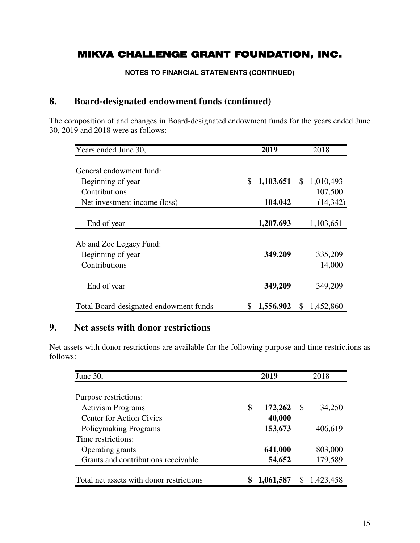**NOTES TO FINANCIAL STATEMENTS (CONTINUED)** 

### **8. Board-designated endowment funds (continued)**

The composition of and changes in Board-designated endowment funds for the years ended June 30, 2019 and 2018 were as follows:

| Years ended June 30,                   | 2019            |               | 2018      |
|----------------------------------------|-----------------|---------------|-----------|
|                                        |                 |               |           |
| General endowment fund:                |                 |               |           |
| Beginning of year                      | \$<br>1,103,651 | \$            | 1,010,493 |
| Contributions                          |                 |               | 107,500   |
| Net investment income (loss)           | 104,042         |               | (14, 342) |
|                                        |                 |               |           |
| End of year                            | 1,207,693       |               | 1,103,651 |
|                                        |                 |               |           |
| Ab and Zoe Legacy Fund:                |                 |               |           |
| Beginning of year                      | 349,209         |               | 335,209   |
| Contributions                          |                 |               | 14,000    |
|                                        |                 |               |           |
| End of year                            | 349,209         |               | 349,209   |
|                                        |                 |               |           |
| Total Board-designated endowment funds | \$<br>1,556,902 | $\mathcal{S}$ | 1,452,860 |

## **9. Net assets with donor restrictions**

Net assets with donor restrictions are available for the following purpose and time restrictions as follows:

| June 30,                                 | 2019          | 2018         |
|------------------------------------------|---------------|--------------|
|                                          |               |              |
| Purpose restrictions:                    |               |              |
| <b>Activism Programs</b>                 | \$<br>172,262 | \$<br>34,250 |
| <b>Center for Action Civics</b>          | 40,000        |              |
| Policymaking Programs                    | 153,673       | 406,619      |
| Time restrictions:                       |               |              |
| Operating grants                         | 641,000       | 803,000      |
| Grants and contributions receivable      | 54,652        | 179,589      |
|                                          |               |              |
| Total net assets with donor restrictions | 1,061,587     | 1,423,458    |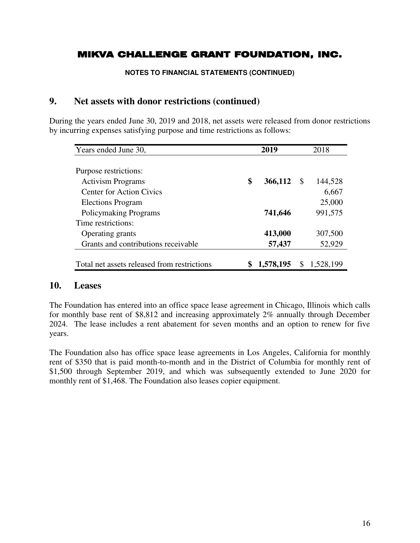**NOTES TO FINANCIAL STATEMENTS (CONTINUED)** 

### **9. Net assets with donor restrictions (continued)**

During the years ended June 30, 2019 and 2018, net assets were released from donor restrictions by incurring expenses satisfying purpose and time restrictions as follows:

| Years ended June 30,                        | 2019          |               | 2018      |
|---------------------------------------------|---------------|---------------|-----------|
|                                             |               |               |           |
| Purpose restrictions:                       |               |               |           |
| <b>Activism Programs</b>                    | \$<br>366,112 | <sup>\$</sup> | 144,528   |
| <b>Center for Action Civics</b>             |               |               | 6,667     |
| <b>Elections Program</b>                    |               |               | 25,000    |
| Policymaking Programs                       | 741,646       |               | 991,575   |
| Time restrictions:                          |               |               |           |
| Operating grants                            | 413,000       |               | 307,500   |
| Grants and contributions receivable         | 57,437        |               | 52,929    |
|                                             |               |               |           |
| Total net assets released from restrictions | 1,578,195     | S             | 1,528,199 |

### **10. Leases**

The Foundation has entered into an office space lease agreement in Chicago, Illinois which calls for monthly base rent of \$8,812 and increasing approximately 2% annually through December 2024. The lease includes a rent abatement for seven months and an option to renew for five years.

The Foundation also has office space lease agreements in Los Angeles, California for monthly rent of \$350 that is paid month-to-month and in the District of Columbia for monthly rent of \$1,500 through September 2019, and which was subsequently extended to June 2020 for monthly rent of \$1,468. The Foundation also leases copier equipment.